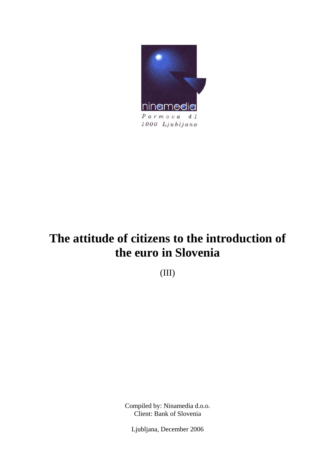

# **The attitude of citizens to the introduction of the euro in Slovenia**

(III)

Compiled by: Ninamedia d.o.o. Client: Bank of Slovenia

Ljubljana, December 2006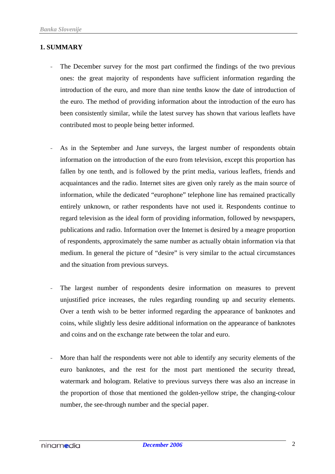## **1. SUMMARY**

- The December survey for the most part confirmed the findings of the two previous ones: the great majority of respondents have sufficient information regarding the introduction of the euro, and more than nine tenths know the date of introduction of the euro. The method of providing information about the introduction of the euro has been consistently similar, while the latest survey has shown that various leaflets have contributed most to people being better informed.
- As in the September and June surveys, the largest number of respondents obtain information on the introduction of the euro from television, except this proportion has fallen by one tenth, and is followed by the print media, various leaflets, friends and acquaintances and the radio. Internet sites are given only rarely as the main source of information, while the dedicated "europhone" telephone line has remained practically entirely unknown, or rather respondents have not used it. Respondents continue to regard television as the ideal form of providing information, followed by newspapers, publications and radio. Information over the Internet is desired by a meagre proportion of respondents, approximately the same number as actually obtain information via that medium. In general the picture of "desire" is very similar to the actual circumstances and the situation from previous surveys.
- The largest number of respondents desire information on measures to prevent unjustified price increases, the rules regarding rounding up and security elements. Over a tenth wish to be better informed regarding the appearance of banknotes and coins, while slightly less desire additional information on the appearance of banknotes and coins and on the exchange rate between the tolar and euro.
- More than half the respondents were not able to identify any security elements of the euro banknotes, and the rest for the most part mentioned the security thread, watermark and hologram. Relative to previous surveys there was also an increase in the proportion of those that mentioned the golden-yellow stripe, the changing-colour number, the see-through number and the special paper.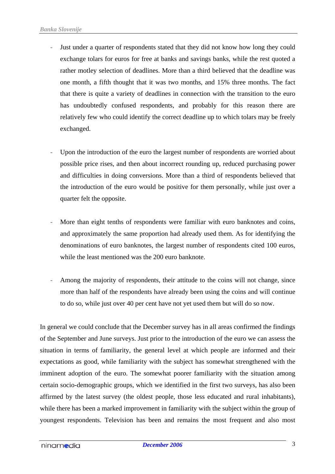- Just under a quarter of respondents stated that they did not know how long they could exchange tolars for euros for free at banks and savings banks, while the rest quoted a rather motley selection of deadlines. More than a third believed that the deadline was one month, a fifth thought that it was two months, and 15% three months. The fact that there is quite a variety of deadlines in connection with the transition to the euro has undoubtedly confused respondents, and probably for this reason there are relatively few who could identify the correct deadline up to which tolars may be freely exchanged.
- Upon the introduction of the euro the largest number of respondents are worried about possible price rises, and then about incorrect rounding up, reduced purchasing power and difficulties in doing conversions. More than a third of respondents believed that the introduction of the euro would be positive for them personally, while just over a quarter felt the opposite.
- More than eight tenths of respondents were familiar with euro banknotes and coins, and approximately the same proportion had already used them. As for identifying the denominations of euro banknotes, the largest number of respondents cited 100 euros, while the least mentioned was the 200 euro banknote.
- Among the majority of respondents, their attitude to the coins will not change, since more than half of the respondents have already been using the coins and will continue to do so, while just over 40 per cent have not yet used them but will do so now.

In general we could conclude that the December survey has in all areas confirmed the findings of the September and June surveys. Just prior to the introduction of the euro we can assess the situation in terms of familiarity, the general level at which people are informed and their expectations as good, while familiarity with the subject has somewhat strengthened with the imminent adoption of the euro. The somewhat poorer familiarity with the situation among certain socio-demographic groups, which we identified in the first two surveys, has also been affirmed by the latest survey (the oldest people, those less educated and rural inhabitants), while there has been a marked improvement in familiarity with the subject within the group of youngest respondents. Television has been and remains the most frequent and also most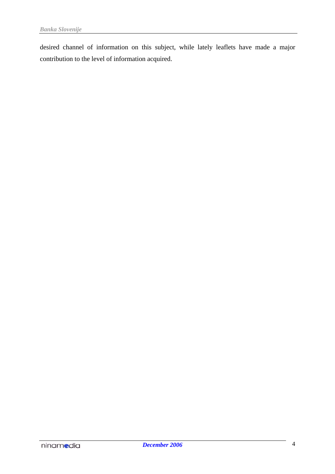desired channel of information on this subject, while lately leaflets have made a major contribution to the level of information acquired.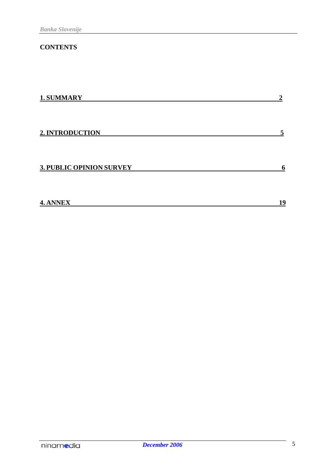# **CONTENTS**

| 1. SUMMARY                      | $\boldsymbol{2}$ |
|---------------------------------|------------------|
| 2. INTRODUCTION                 | 5                |
| <b>3. PUBLIC OPINION SURVEY</b> | 6                |
| 4. ANNEX                        | 19               |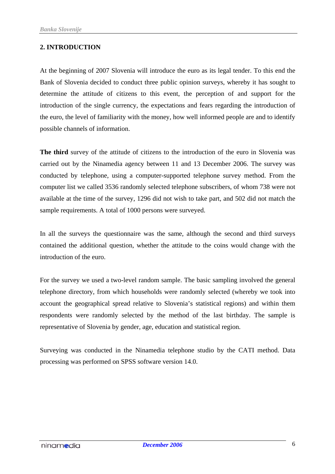## **2. INTRODUCTION**

At the beginning of 2007 Slovenia will introduce the euro as its legal tender. To this end the Bank of Slovenia decided to conduct three public opinion surveys, whereby it has sought to determine the attitude of citizens to this event, the perception of and support for the introduction of the single currency, the expectations and fears regarding the introduction of the euro, the level of familiarity with the money, how well informed people are and to identify possible channels of information.

**The third** survey of the attitude of citizens to the introduction of the euro in Slovenia was carried out by the Ninamedia agency between 11 and 13 December 2006. The survey was conducted by telephone, using a computer-supported telephone survey method. From the computer list we called 3536 randomly selected telephone subscribers, of whom 738 were not available at the time of the survey, 1296 did not wish to take part, and 502 did not match the sample requirements. A total of 1000 persons were surveyed.

In all the surveys the questionnaire was the same, although the second and third surveys contained the additional question, whether the attitude to the coins would change with the introduction of the euro.

For the survey we used a two-level random sample. The basic sampling involved the general telephone directory, from which households were randomly selected (whereby we took into account the geographical spread relative to Slovenia's statistical regions) and within them respondents were randomly selected by the method of the last birthday. The sample is representative of Slovenia by gender, age, education and statistical region.

Surveying was conducted in the Ninamedia telephone studio by the CATI method. Data processing was performed on SPSS software version 14.0.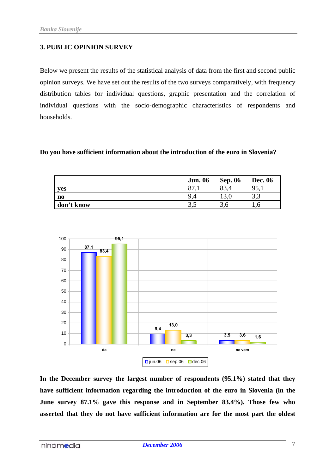## **3. PUBLIC OPINION SURVEY**

Below we present the results of the statistical analysis of data from the first and second public opinion surveys. We have set out the results of the two surveys comparatively, with frequency distribution tables for individual questions, graphic presentation and the correlation of individual questions with the socio-demographic characteristics of respondents and households.

#### **Do you have sufficient information about the introduction of the euro in Slovenia?**

|                        | <b>Jun. 06</b>  | <b>Sep. 06</b>  | <b>Dec. 06</b> |
|------------------------|-----------------|-----------------|----------------|
| yes                    | O7<br>Ō         | $\circ$<br>oj.- | 95,1           |
| $\mathbf{n}\mathbf{o}$ | 9<br>$\sqrt{2}$ | 19.U            | $\sim$<br>ں د  |
| don't know             | ں د             | D.U             | 1.0            |



**In the December survey the largest number of respondents (95.1%) stated that they have sufficient information regarding the introduction of the euro in Slovenia (in the June survey 87.1% gave this response and in September 83.4%). Those few who asserted that they do not have sufficient information are for the most part the oldest**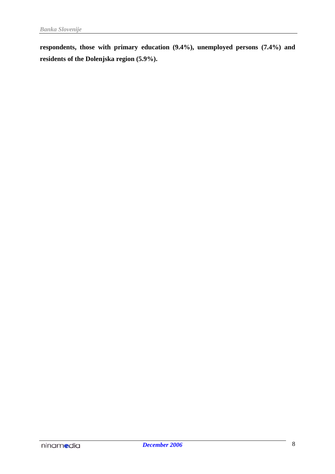**respondents, those with primary education (9.4%), unemployed persons (7.4%) and residents of the Dolenjska region (5.9%).**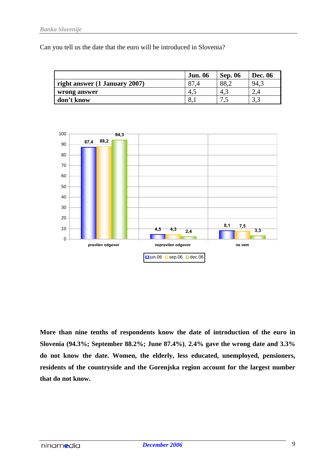Can you tell us the date that the euro will be introduced in Slovenia?

|                               | <b>Jun. 06</b> | <b>Sep. 06</b> | <b>Dec. 06</b> |
|-------------------------------|----------------|----------------|----------------|
| right answer (1 January 2007) |                | 88,2           | 94,            |
| wrong answer                  | 4.1            | 4.1            | ∠.⊣            |
| don't know                    | 8.1            | سم             | ر. ر           |



**More than nine tenths of respondents know the date of introduction of the euro in Slovenia (94.3%; September 88.2%; June 87.4%)**, **2.4% gave the wrong date and 3.3% do not know the date. Women, the elderly, less educated, unemployed, pensioners, residents of the countryside and the Gorenjska region account for the largest number that do not know.**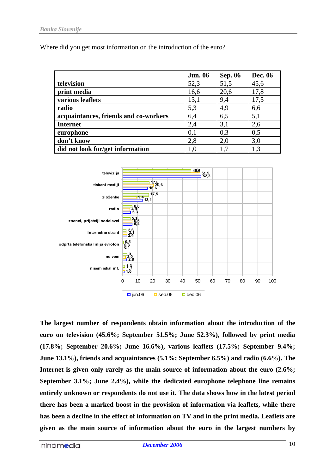Where did you get most information on the introduction of the euro?

|                                       | <b>Jun. 06</b> | <b>Sep. 06</b> | <b>Dec. 06</b> |
|---------------------------------------|----------------|----------------|----------------|
| television                            | 52,3           | 51,5           | 45,6           |
| print media                           | 16,6           | 20,6           | 17,8           |
| various leaflets                      | 13,1           | 9,4            | 17,5           |
| radio                                 | 5,3            | 4,9            | 6,6            |
| acquaintances, friends and co-workers | 6,4            | 6,5            | 5,1            |
| <b>Internet</b>                       | 2,4            | 3,1            | 2,6            |
| europhone                             | 0,1            | 0,3            | 0,5            |
| don't know                            | 2,8            | 2,0            | 3,0            |
| did not look for/get information      | 1,0            | 1,7            | 1,3            |



**The largest number of respondents obtain information about the introduction of the euro on television (45.6%; September 51.5%; June 52.3%), followed by print media (17.8%; September 20.6%; June 16.6%), various leaflets (17.5%; September 9.4%; June 13.1%), friends and acquaintances (5.1%; September 6.5%) and radio (6.6%). The Internet is given only rarely as the main source of information about the euro (2.6%; September 3.1%; June 2.4%), while the dedicated europhone telephone line remains entirely unknown or respondents do not use it. The data shows how in the latest period there has been a marked boost in the provision of information via leaflets, while there has been a decline in the effect of information on TV and in the print media. Leaflets are given as the main source of information about the euro in the largest numbers by**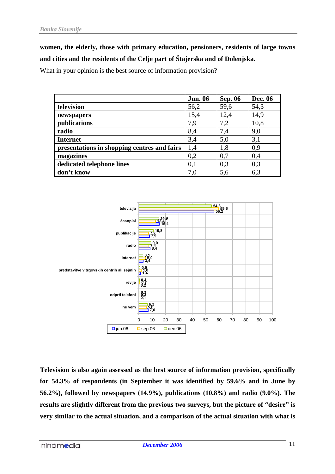**women, the elderly, those with primary education, pensioners, residents of large towns and cities and the residents of the Celje part of Štajerska and of Dolenjska.**

What in your opinion is the best source of information provision?

|                                             | <b>Jun. 06</b> | <b>Sep. 06</b> | <b>Dec. 06</b> |
|---------------------------------------------|----------------|----------------|----------------|
| television                                  | 56,2           | 59,6           | 54,3           |
| newspapers                                  | 15,4           | 12,4           | 14,9           |
| publications                                | 7,9            | 7,2            | 10,8           |
| radio                                       | 8,4            | 7,4            | 9,0            |
| <b>Internet</b>                             | 3,4            | 5,0            | 3,1            |
| presentations in shopping centres and fairs | 1,4            | 1,8            | 0.9            |
| magazines                                   | 0,2            | 0,7            | 0,4            |
| dedicated telephone lines                   | 0.1            | 0,3            | 0,3            |
| don't know                                  | 7,0            | 5,6            | 6,3            |



**Television is also again assessed as the best source of information provision, specifically for 54.3% of respondents (in September it was identified by 59.6% and in June by 56.2%), followed by newspapers (14.9%), publications (10.8%) and radio (9.0%). The results are slightly different from the previous two surveys, but the picture of "desire" is very similar to the actual situation, and a comparison of the actual situation with what is**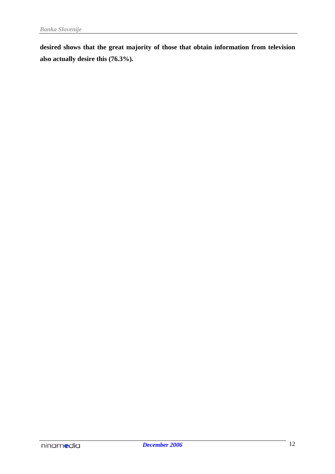**desired shows that the great majority of those that obtain information from television also actually desire this (76.3%).**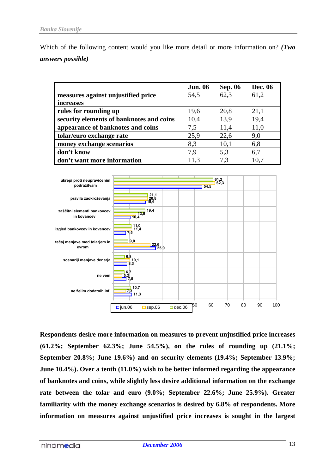Which of the following content would you like more detail or more information on? *(Two answers possible)*

|                                          | <b>Jun. 06</b> | <b>Sep. 06</b> | <b>Dec. 06</b> |
|------------------------------------------|----------------|----------------|----------------|
| measures against unjustified price       | 54,5           | 62,3           | 61,2           |
| <i>increases</i>                         |                |                |                |
| rules for rounding up                    | 19,6           | 20,8           | 21,1           |
| security elements of banknotes and coins | 10,4           | 13,9           | 19,4           |
| appearance of banknotes and coins        | 7,5            | 11,4           | 11,0           |
| tolar/euro exchange rate                 | 25,9           | 22,6           | 9,0            |
| money exchange scenarios                 | 8,3            | 10,1           | 6,8            |
| don't know                               | 7.9            | 5,3            | 6,7            |
| don't want more information              | 11,3           | 7.3            | 10,7           |



**Respondents desire more information on measures to prevent unjustified price increases (61.2%; September 62.3%; June 54.5%), on the rules of rounding up (21.1%; September 20.8%; June 19.6%) and on security elements (19.4%; September 13.9%; June 10.4%). Over a tenth (11.0%) wish to be better informed regarding the appearance of banknotes and coins, while slightly less desire additional information on the exchange rate between the tolar and euro (9.0%; September 22.6%; June 25.9%). Greater familiarity with the money exchange scenarios is desired by 6.8% of respondents. More information on measures against unjustified price increases is sought in the largest**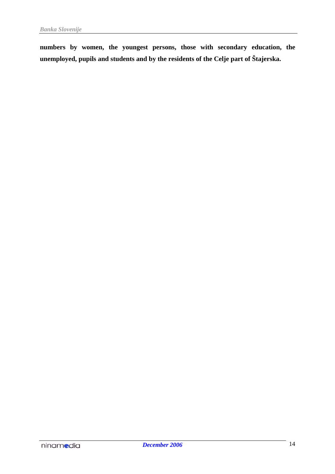**numbers by women, the youngest persons, those with secondary education, the unemployed, pupils and students and by the residents of the Celje part of Štajerska.**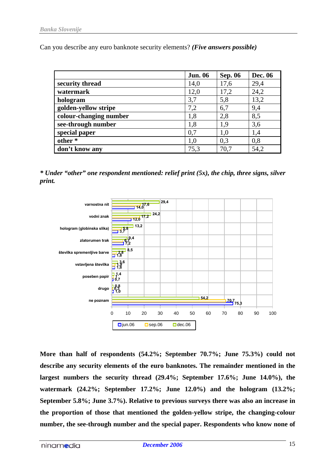Can you describe any euro banknote security elements? *(Five answers possible)*

|                        | <b>Jun. 06</b> | <b>Sep. 06</b> | <b>Dec. 06</b> |
|------------------------|----------------|----------------|----------------|
| security thread        | 14,0           | 17,6           | 29,4           |
| watermark              | 12,0           | 17,2           | 24,2           |
| hologram               | 3,7            | 5,8            | 13,2           |
| golden-yellow stripe   | 7,2            | 6,7            | 9,4            |
| colour-changing number | 1,8            | 2,8            | 8,5            |
| see-through number     | 1,8            | 1,9            | 3,6            |
| special paper          | 0,7            | 1,0            | 1,4            |
| other*                 | 1,0            | 0,3            | 0,8            |
| don't know any         | 75,3           | 70,7           | 54,2           |

*\* Under "other" one respondent mentioned: relief print (5x), the chip, three signs, silver print.*



**More than half of respondents (54.2%; September 70.7%; June 75.3%) could not describe any security elements of the euro banknotes. The remainder mentioned in the largest numbers the security thread (29.4%; September 17.6%; June 14.0%), the watermark (24.2%; September 17.2%; June 12.0%) and the hologram (13.2%; September 5.8%; June 3.7%). Relative to previous surveys there was also an increase in the proportion of those that mentioned the golden-yellow stripe, the changing-colour number, the see-through number and the special paper. Respondents who know none of**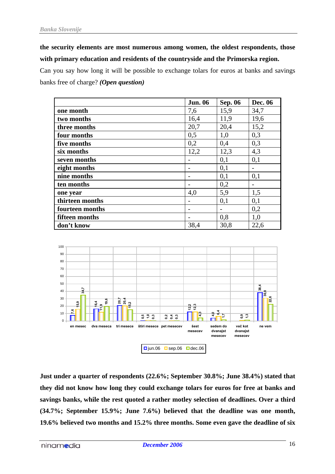**the security elements are most numerous among women, the oldest respondents, those with primary education and residents of the countryside and the Primorska region.**

Can you say how long it will be possible to exchange tolars for euros at banks and savings banks free of charge? *(Open question)*

|                 | <b>Jun. 06</b>           | <b>Sep. 06</b> | <b>Dec. 06</b>           |
|-----------------|--------------------------|----------------|--------------------------|
| one month       | 7,6                      | 15,9           | 34,7                     |
| two months      | 16,4                     | 11,9           | 19,6                     |
| three months    | 20,7                     | 20,4           | 15,2                     |
| four months     | 0,5                      | 1,0            | 0,3                      |
| five months     | 0,2                      | 0,4            | 0,3                      |
| six months      | 12,2                     | 12,3           | 4,3                      |
| seven months    |                          | 0,1            | 0,1                      |
| eight months    | $\overline{\phantom{0}}$ | 0,1            | $\overline{\phantom{a}}$ |
| nine months     |                          | 0,1            | 0,1                      |
| ten months      |                          | 0,2            |                          |
| one year        | 4,0                      | 5,9            | 1,5                      |
| thirteen months |                          | 0,1            | 0,1                      |
| fourteen months | $\overline{\phantom{0}}$ |                | 0,2                      |
| fifteen months  |                          | 0,8            | 1,0                      |
| don't know      | 38,4                     | 30,8           | 22,6                     |



**Just under a quarter of respondents (22.6%; September 30.8%; June 38.4%) stated that they did not know how long they could exchange tolars for euros for free at banks and savings banks, while the rest quoted a rather motley selection of deadlines. Over a third (34.7%; September 15.9%; June 7.6%) believed that the deadline was one month, 19.6% believed two months and 15.2% three months. Some even gave the deadline of six**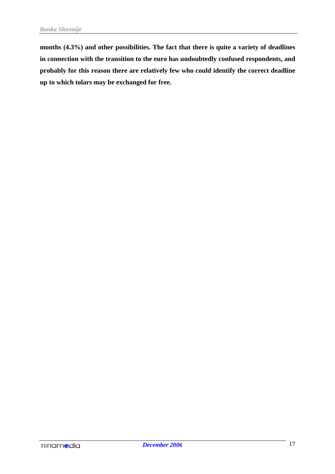**months (4.3%) and other possibilities. The fact that there is quite a variety of deadlines in connection with the transition to the euro has undoubtedly confused respondents, and probably for this reason there are relatively few who could identify the correct deadline up to which tolars may be exchanged for free.**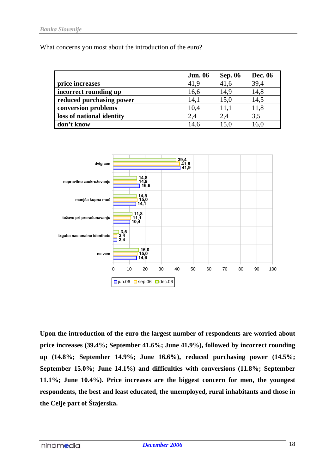What concerns you most about the introduction of the euro?

|                           | <b>Jun. 06</b> | <b>Sep. 06</b> | <b>Dec. 06</b> |
|---------------------------|----------------|----------------|----------------|
| price increases           | 41,9           | 41,6           | 39,4           |
| incorrect rounding up     | 16,6           | 14,9           | 14,8           |
| reduced purchasing power  | 14,1           | 15,0           | 14,5           |
| conversion problems       | 10,4           | 11,1           | 11,8           |
| loss of national identity | 2,4            | 2,4            | 3,5            |
| don't know                | 14,6           | 15,0           | 16,0           |



**Upon the introduction of the euro the largest number of respondents are worried about price increases (39.4%; September 41.6%; June 41.9%), followed by incorrect rounding up (14.8%; September 14.9%; June 16.6%), reduced purchasing power (14.5%; September 15.0%; June 14.1%) and difficulties with conversions (11.8%; September 11.1%; June 10.4%). Price increases are the biggest concern for men, the youngest respondents, the best and least educated, the unemployed, rural inhabitants and those in the Celje part of Štajerska.**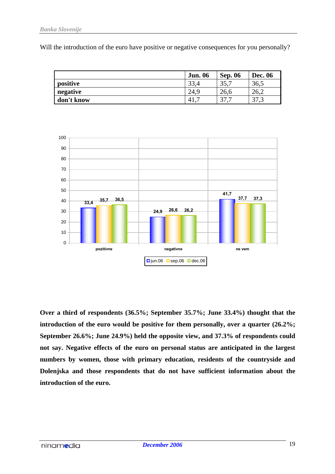Will the introduction of the euro have positive or negative consequences for you personally?

|            | <b>Jun. 06</b> | <b>Sep. 06</b> | Dec. 06                           |
|------------|----------------|----------------|-----------------------------------|
| positive   | 22<br>33.-     | າເ<br>33.      | 36,5                              |
| negative   | 24,9           | 26.6           | 40.Z                              |
| don't know | $-41.$         | n <del>n</del> | $\overline{\phantom{a}}$<br>ن ، ر |



**Over a third of respondents (36.5%; September 35.7%; June 33.4%) thought that the introduction of the euro would be positive for them personally, over a quarter (26.2%; September 26.6%; June 24.9%) held the opposite view, and 37.3% of respondents could not say. Negative effects of the euro on personal status are anticipated in the largest numbers by women, those with primary education, residents of the countryside and Dolenjska and those respondents that do not have sufficient information about the introduction of the euro.**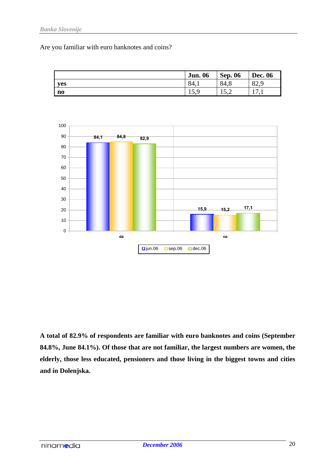#### *Banka Slovenije*

Are you familiar with euro banknotes and coins?

![](_page_19_Figure_2.jpeg)

![](_page_19_Figure_3.jpeg)

**A total of 82.9% of respondents are familiar with euro banknotes and coins (September 84.8%, June 84.1%). Of those that are not familiar, the largest numbers are women, the elderly, those less educated, pensioners and those living in the biggest towns and cities and in Dolenjska.**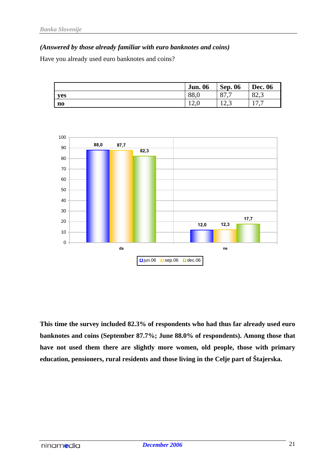## *(Answered by those already familiar with euro banknotes and coins)*

Have you already used euro banknotes and coins?

|              | <b>Jun. 06</b> | <b>Sep. 06</b>                    | <b>Dec. 06</b>                        |
|--------------|----------------|-----------------------------------|---------------------------------------|
| <b>ves</b>   | 88,0           | O <sub>7</sub><br>-<br>$\sigma$ . | റ<br>02.J                             |
| $\mathbf{n}$ | $1 \Delta$ .   | $\sim$<br>ن که ا                  | $\overline{ }$<br>$\overline{ }$<br>. |

![](_page_20_Figure_4.jpeg)

**This time the survey included 82.3% of respondents who had thus far already used euro banknotes and coins (September 87.7%; June 88.0% of respondents). Among those that have not used them there are slightly more women, old people, those with primary education, pensioners, rural residents and those living in the Celje part of Štajerska.**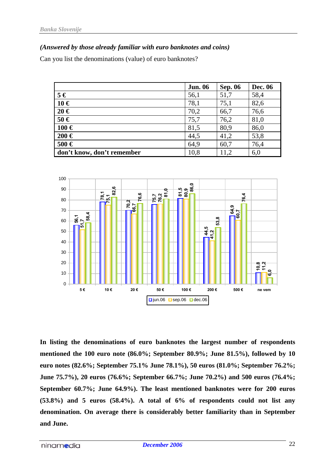## *(Answered by those already familiar with euro banknotes and coins)*

Can you list the denominations (value) of euro banknotes?

|                            | <b>Jun. 06</b> | <b>Sep. 06</b> | Dec. 06 |
|----------------------------|----------------|----------------|---------|
| $5 \in$                    | 56,1           | 51,7           | 58,4    |
| $10 \in$                   | 78,1           | 75,1           | 82,6    |
| $20 \in$                   | 70,2           | 66,7           | 76,6    |
| $50 \in$                   | 75,7           | 76,2           | 81,0    |
| $100 \in$                  | 81,5           | 80,9           | 86,0    |
| $200 \in$                  | 44,5           | 41,2           | 53,8    |
| 500€                       | 64,9           | 60,7           | 76,4    |
| don't know, don't remember | 10,8           | 11,2           | 6,0     |

![](_page_21_Figure_4.jpeg)

**In listing the denominations of euro banknotes the largest number of respondents mentioned the 100 euro note (86.0%; September 80.9%; June 81.5%), followed by 10 euro notes (82.6%; September 75.1% June 78.1%), 50 euros (81.0%; September 76.2%; June 75.7%), 20 euros (76.6%; September 66.7%; June 70.2%) and 500 euros (76.4%; September 60.7%; June 64.9%). The least mentioned banknotes were for 200 euros (53.8%) and 5 euros (58.4%). A total of 6% of respondents could not list any denomination. On average there is considerably better familiarity than in September and June.**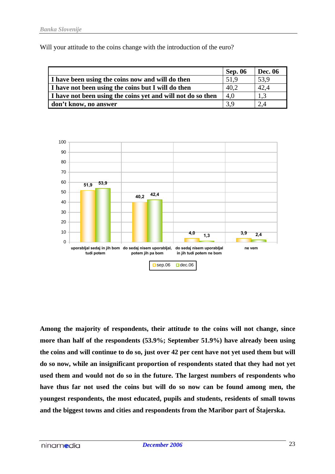Will your attitude to the coins change with the introduction of the euro?

|                                                             | <b>Sep. 06</b> | Dec. 06 |
|-------------------------------------------------------------|----------------|---------|
| I have been using the coins now and will do then            | 51.9           | 53,9    |
| I have not been using the coins but I will do then          | 40,2           | 42,4    |
| I have not been using the coins yet and will not do so then | 4,0            | 1.3     |
| don't know, no answer                                       | 3.9            | 2.4     |

![](_page_22_Figure_3.jpeg)

**Among the majority of respondents, their attitude to the coins will not change, since more than half of the respondents (53.9%; September 51.9%) have already been using the coins and will continue to do so, just over 42 per cent have not yet used them but will do so now, while an insignificant proportion of respondents stated that they had not yet used them and would not do so in the future. The largest numbers of respondents who have thus far not used the coins but will do so now can be found among men, the youngest respondents, the most educated, pupils and students, residents of small towns and the biggest towns and cities and respondents from the Maribor part of Štajerska.**